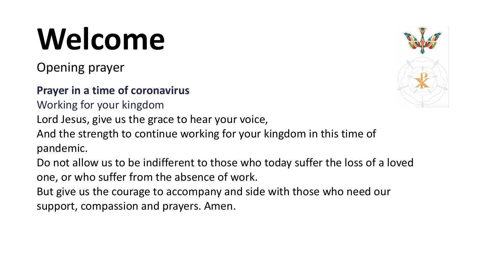# **Welcome**

Opening prayer

#### **Prayer in a time of coronavirus**

Working for your kingdom

Lord Jesus, give us the grace to hear your voice,

And the strength to continue working for your kingdom in this time of pandemic.

Do not allow us to be indifferent to those who today suffer the loss of a loved one, or who suffer from the absence of work.

But give us the courage to accompany and side with those who need our support, compassion and prayers. Amen.

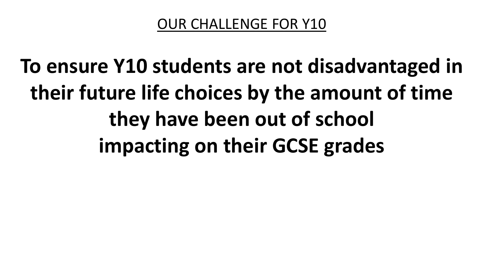## **To ensure Y10 students are not disadvantaged in their future life choices by the amount of time they have been out of school impacting on their GCSE grades**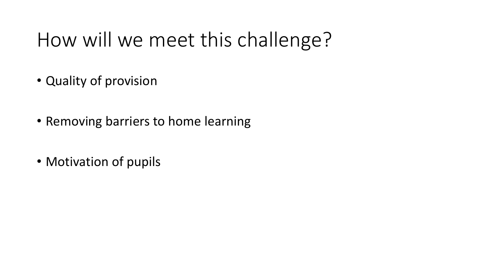### How will we meet this challenge?

- Quality of provision
- Removing barriers to home learning
- Motivation of pupils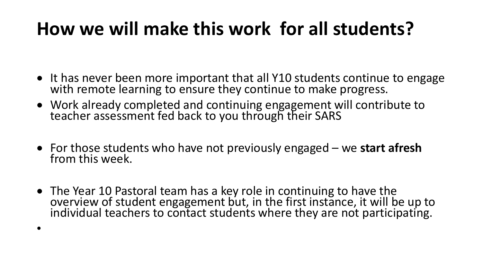### **How we will make this work for all students?**

- It has never been more important that all Y10 students continue to engage with remote learning to ensure they continue to make progress.
- Work already completed and continuing engagement will contribute to teacher assessment fed back to you through their SARS
- For those students who have not previously engaged we **start afresh**  from this week.
- The Year 10 Pastoral team has a key role in continuing to have the overview of student engagement but, in the first instance, it will be up to individual teachers to contact students where they are not participating.

•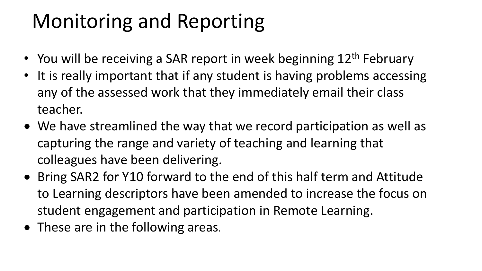### Monitoring and Reporting

- You will be receiving a SAR report in week beginning 12<sup>th</sup> February
- It is really important that if any student is having problems accessing any of the assessed work that they immediately email their class teacher.
- We have streamlined the way that we record participation as well as capturing the range and variety of teaching and learning that colleagues have been delivering.
- Bring SAR2 for Y10 forward to the end of this half term and Attitude to Learning descriptors have been amended to increase the focus on student engagement and participation in Remote Learning.
- These are in the following areas.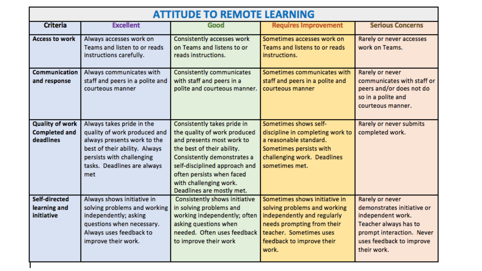| <b>ATTITUDE TO REMOTE LEARNING</b>                          |                                                                                                                                                                                              |                                                                                                                                                                                                                                                                            |                                                                                                                                                                                             |                                                                                                                                                                     |
|-------------------------------------------------------------|----------------------------------------------------------------------------------------------------------------------------------------------------------------------------------------------|----------------------------------------------------------------------------------------------------------------------------------------------------------------------------------------------------------------------------------------------------------------------------|---------------------------------------------------------------------------------------------------------------------------------------------------------------------------------------------|---------------------------------------------------------------------------------------------------------------------------------------------------------------------|
| <b>Criteria</b>                                             | <b>Excellent</b>                                                                                                                                                                             | Good                                                                                                                                                                                                                                                                       | <b>Requires Improvement</b>                                                                                                                                                                 | <b>Serious Concerns</b>                                                                                                                                             |
| <b>Access to work</b>                                       | Always accesses work on<br>Teams and listen to or reads<br>instructions carefully.                                                                                                           | Consistently accesses work<br>on Teams and listens to or<br>reads instructions.                                                                                                                                                                                            | Sometimes accesses work on<br>Teams and listens to or reads<br>instructions.                                                                                                                | Rarely or never accesses<br>work on Teams.                                                                                                                          |
| Communication<br>and response                               | Always communicates with<br>staff and peers in a polite and<br>courteous manner                                                                                                              | <b>Consistently communicates</b><br>with staff and peers in a<br>polite and courteous manner.                                                                                                                                                                              | Sometimes communicates with<br>staff and peers in a polite and<br>courteous manner                                                                                                          | Rarely or never<br>communicates with staff or<br>peers and/or does not do<br>so in a polite and<br>courteous manner.                                                |
| <b>Quality of work</b><br><b>Completed and</b><br>deadlines | Always takes pride in the<br>quality of work produced and<br>always presents work to the<br>best of their ability. Always<br>persists with challenging<br>tasks. Deadlines are always<br>met | Consistently takes pride in<br>the quality of work produced<br>and presents most work to<br>the best of their ability.<br>Consistently demonstrates a<br>self-disciplined approach and<br>often persists when faced<br>with challenging work.<br>Deadlines are mostly met. | Sometimes shows self-<br>discipline in completing work to<br>a reasonable standard.<br>Sometimes persists with<br>challenging work. Deadlines<br>sometimes met.                             | Rarely or never submits<br>completed work.                                                                                                                          |
| Self-directed<br>learning and<br>initiative                 | Always shows initiative in<br>solving problems and working<br>independently; asking<br>questions when necessary.<br>Always uses feedback to<br>improve their work.                           | Consistently shows initiative<br>in solving problems and<br>working independently; often<br>asking questions when<br>needed. Often uses feedback<br>to improve their work                                                                                                  | Sometimes shows initiative in<br>solving problems and working<br>independently and regularly<br>needs prompting from their<br>teacher. Sometimes uses<br>feedback to improve their<br>work. | Rarely or never<br>demonstrates initiative or<br>independent work.<br>Teacher always has to<br>prompt interaction. Never<br>uses feedback to improve<br>their work. |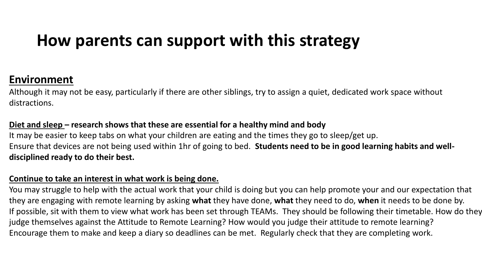### **How parents can support with this strategy**

#### **Environment**

Although it may not be easy, particularly if there are other siblings, try to assign a quiet, dedicated work space without distractions.

#### **Diet and sleep – research shows that these are essential for a healthy mind and body**

It may be easier to keep tabs on what your children are eating and the times they go to sleep/get up. Ensure that devices are not being used within 1hr of going to bed. **Students need to be in good learning habits and welldisciplined ready to do their best.**

#### **Continue to take an interest in what work is being done.**

You may struggle to help with the actual work that your child is doing but you can help promote your and our expectation that they are engaging with remote learning by asking **what** they have done, **what** they need to do, **when** it needs to be done by. If possible, sit with them to view what work has been set through TEAMs. They should be following their timetable. How do they judge themselves against the Attitude to Remote Learning? How would you judge their attitude to remote learning? Encourage them to make and keep a diary so deadlines can be met. Regularly check that they are completing work.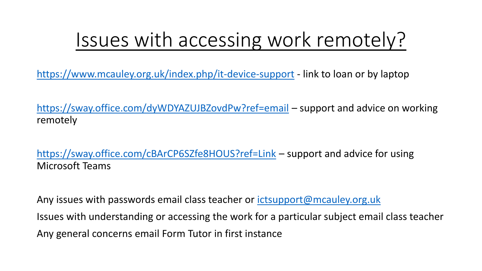### Issues with accessing work remotely?

<https://www.mcauley.org.uk/index.php/it-device-support> - link to loan or by laptop

<https://sway.office.com/dyWDYAZUJBZovdPw?ref=email> – support and advice on working remotely

<https://sway.office.com/cBArCP6SZfe8HOUS?ref=Link> – support and advice for using Microsoft Teams

Any issues with passwords email class teacher or *ictsupport@mcauley.org.uk* Issues with understanding or accessing the work for a particular subject email class teacher Any general concerns email Form Tutor in first instance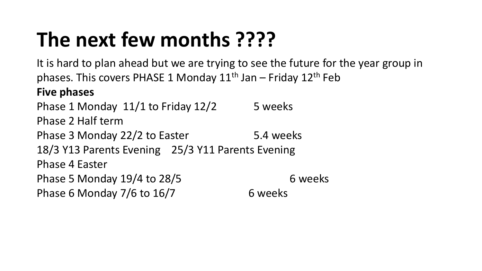### **The next few months ????**

It is hard to plan ahead but we are trying to see the future for the year group in phases. This covers PHASE 1 Monday  $11<sup>th</sup>$  Jan – Friday  $12<sup>th</sup>$  Feb **Five phases**  Phase 1 Monday  $11/1$  to Friday  $12/2$  5 weeks Phase 2 Half term Phase 3 Monday 22/2 to Easter 5.4 weeks 18/3 Y13 Parents Evening 25/3 Y11 Parents Evening Phase 4 Easter Phase 5 Monday  $19/4$  to  $28/5$  6 weeks Phase 6 Monday  $7/6$  to  $16/7$  6 weeks